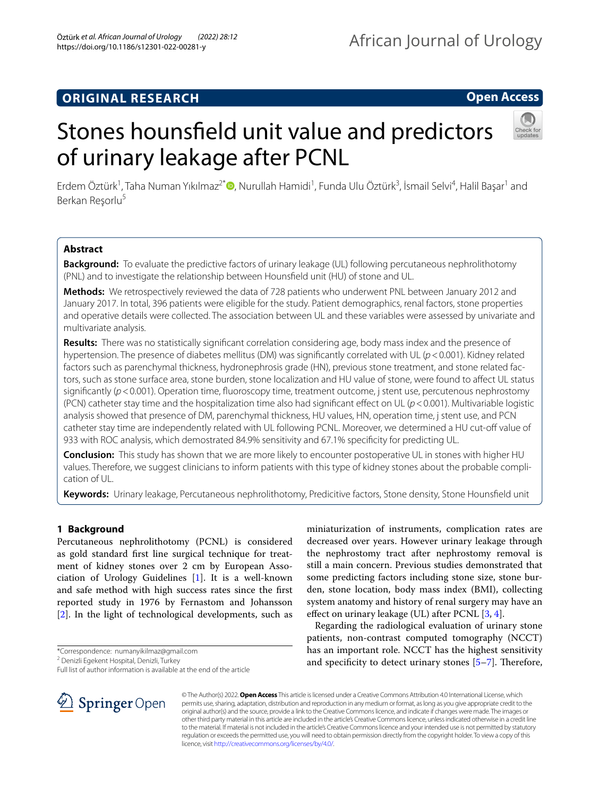## **ORIGINAL RESEARCH**

## **Open Access**

# Stones hounsfeld unit value and predictors of urinary leakage after PCNL



Erdem Öztürk<sup>1</sup>[,](http://orcid.org/0000-0001-8410-2474) Taha Numan Yıkılmaz<sup>2\*</sup> D, Nurullah Hamidi<sup>1</sup>, Funda Ulu Öztürk<sup>3</sup>, İsmail Selvi<sup>4</sup>, Halil Başar<sup>1</sup> and Berkan Resorlu<sup>5</sup>

## **Abstract**

**Background:** To evaluate the predictive factors of urinary leakage (UL) following percutaneous nephrolithotomy (PNL) and to investigate the relationship between Hounsfeld unit (HU) of stone and UL.

**Methods:** We retrospectively reviewed the data of 728 patients who underwent PNL between January 2012 and January 2017. In total, 396 patients were eligible for the study. Patient demographics, renal factors, stone properties and operative details were collected. The association between UL and these variables were assessed by univariate and multivariate analysis.

**Results:** There was no statistically signifcant correlation considering age, body mass index and the presence of hypertension. The presence of diabetes mellitus (DM) was signifcantly correlated with UL (*p*<0.001). Kidney related factors such as parenchymal thickness, hydronephrosis grade (HN), previous stone treatment, and stone related factors, such as stone surface area, stone burden, stone localization and HU value of stone, were found to afect UL status significantly ( $p$ <0.001). Operation time, fluoroscopy time, treatment outcome, j stent use, percutenous nephrostomy (PCN) catheter stay time and the hospitalization time also had significant effect on UL ( $p$  < 0.001). Multivariable logistic analysis showed that presence of DM, parenchymal thickness, HU values, HN, operation time, j stent use, and PCN catheter stay time are independently related with UL following PCNL. Moreover, we determined a HU cut-of value of 933 with ROC analysis, which demostrated 84.9% sensitivity and 67.1% specifcity for predicting UL.

**Conclusion:** This study has shown that we are more likely to encounter postoperative UL in stones with higher HU values. Therefore, we suggest clinicians to inform patients with this type of kidney stones about the probable complication of UL.

**Keywords:** Urinary leakage, Percutaneous nephrolithotomy, Predicitive factors, Stone density, Stone Hounsfeld unit

## **1 Background**

Percutaneous nephrolithotomy (PCNL) is considered as gold standard frst line surgical technique for treatment of kidney stones over 2 cm by European Association of Urology Guidelines [[1\]](#page-5-0). It is a well-known and safe method with high success rates since the frst reported study in 1976 by Fernastom and Johansson [[2\]](#page-5-1). In the light of technological developments, such as

\*Correspondence: numanyikilmaz@gmail.com

Full list of author information is available at the end of the article



miniaturization of instruments, complication rates are decreased over years. However urinary leakage through the nephrostomy tract after nephrostomy removal is still a main concern. Previous studies demonstrated that some predicting factors including stone size, stone burden, stone location, body mass index (BMI), collecting system anatomy and history of renal surgery may have an efect on urinary leakage (UL) after PCNL [\[3](#page-5-2), [4\]](#page-5-3).

Regarding the radiological evaluation of urinary stone patients, non-contrast computed tomography (NCCT) has an important role. NCCT has the highest sensitivity and specificity to detect urinary stones  $[5-7]$  $[5-7]$ . Therefore,

© The Author(s) 2022. **Open Access** This article is licensed under a Creative Commons Attribution 4.0 International License, which permits use, sharing, adaptation, distribution and reproduction in any medium or format, as long as you give appropriate credit to the original author(s) and the source, provide a link to the Creative Commons licence, and indicate if changes were made. The images or other third party material in this article are included in the article's Creative Commons licence, unless indicated otherwise in a credit line to the material. If material is not included in the article's Creative Commons licence and your intended use is not permitted by statutory regulation or exceeds the permitted use, you will need to obtain permission directly from the copyright holder. To view a copy of this licence, visit [http://creativecommons.org/licenses/by/4.0/.](http://creativecommons.org/licenses/by/4.0/)

<sup>&</sup>lt;sup>2</sup> Denizli Egekent Hospital, Denizli, Turkey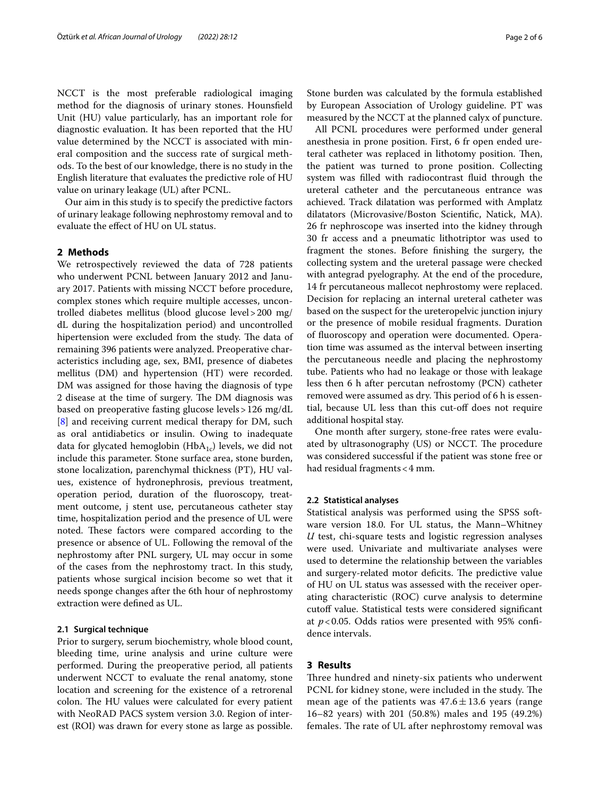NCCT is the most preferable radiological imaging method for the diagnosis of urinary stones. Hounsfeld Unit (HU) value particularly, has an important role for diagnostic evaluation. It has been reported that the HU value determined by the NCCT is associated with mineral composition and the success rate of surgical methods. To the best of our knowledge, there is no study in the English literature that evaluates the predictive role of HU value on urinary leakage (UL) after PCNL.

Our aim in this study is to specify the predictive factors of urinary leakage following nephrostomy removal and to evaluate the efect of HU on UL status.

### **2 Methods**

We retrospectively reviewed the data of 728 patients who underwent PCNL between January 2012 and January 2017. Patients with missing NCCT before procedure, complex stones which require multiple accesses, uncontrolled diabetes mellitus (blood glucose level>200 mg/ dL during the hospitalization period) and uncontrolled hipertension were excluded from the study. The data of remaining 396 patients were analyzed. Preoperative characteristics including age, sex, BMI, presence of diabetes mellitus (DM) and hypertension (HT) were recorded. DM was assigned for those having the diagnosis of type 2 disease at the time of surgery. The DM diagnosis was based on preoperative fasting glucose levels>126 mg/dL [[8\]](#page-5-6) and receiving current medical therapy for DM, such as oral antidiabetics or insulin. Owing to inadequate data for glycated hemoglobin ( $HbA_{1c}$ ) levels, we did not include this parameter. Stone surface area, stone burden, stone localization, parenchymal thickness (PT), HU values, existence of hydronephrosis, previous treatment, operation period, duration of the fuoroscopy, treatment outcome, j stent use, percutaneous catheter stay time, hospitalization period and the presence of UL were noted. These factors were compared according to the presence or absence of UL. Following the removal of the nephrostomy after PNL surgery, UL may occur in some of the cases from the nephrostomy tract. In this study, patients whose surgical incision become so wet that it needs sponge changes after the 6th hour of nephrostomy extraction were defned as UL.

#### **2.1 Surgical technique**

Prior to surgery, serum biochemistry, whole blood count, bleeding time, urine analysis and urine culture were performed. During the preoperative period, all patients underwent NCCT to evaluate the renal anatomy, stone location and screening for the existence of a retrorenal colon. The HU values were calculated for every patient with NeoRAD PACS system version 3.0. Region of interest (ROI) was drawn for every stone as large as possible. Stone burden was calculated by the formula established by European Association of Urology guideline. PT was measured by the NCCT at the planned calyx of puncture.

All PCNL procedures were performed under general anesthesia in prone position. First, 6 fr open ended ureteral catheter was replaced in lithotomy position. Then, the patient was turned to prone position. Collecting system was flled with radiocontrast fuid through the ureteral catheter and the percutaneous entrance was achieved. Track dilatation was performed with Amplatz dilatators (Microvasive/Boston Scientifc, Natick, MA). 26 fr nephroscope was inserted into the kidney through 30 fr access and a pneumatic lithotriptor was used to fragment the stones. Before fnishing the surgery, the collecting system and the ureteral passage were checked with antegrad pyelography. At the end of the procedure, 14 fr percutaneous mallecot nephrostomy were replaced. Decision for replacing an internal ureteral catheter was based on the suspect for the ureteropelvic junction injury or the presence of mobile residual fragments. Duration of fuoroscopy and operation were documented. Operation time was assumed as the interval between inserting the percutaneous needle and placing the nephrostomy tube. Patients who had no leakage or those with leakage less then 6 h after percutan nefrostomy (PCN) catheter removed were assumed as dry. This period of 6 h is essential, because UL less than this cut-of does not require additional hospital stay.

One month after surgery, stone-free rates were evaluated by ultrasonography (US) or NCCT. The procedure was considered successful if the patient was stone free or had residual fragments<4 mm.

#### **2.2 Statistical analyses**

Statistical analysis was performed using the SPSS software version 18.0. For UL status, the Mann–Whitney *U* test, chi-square tests and logistic regression analyses were used. Univariate and multivariate analyses were used to determine the relationship between the variables and surgery-related motor deficits. The predictive value of HU on UL status was assessed with the receiver operating characteristic (ROC) curve analysis to determine cutoff value. Statistical tests were considered significant at *p*<0.05. Odds ratios were presented with 95% confdence intervals.

## **3 Results**

Three hundred and ninety-six patients who underwent PCNL for kidney stone, were included in the study. The mean age of the patients was  $47.6 \pm 13.6$  years (range 16–82 years) with 201 (50.8%) males and 195 (49.2%) females. The rate of UL after nephrostomy removal was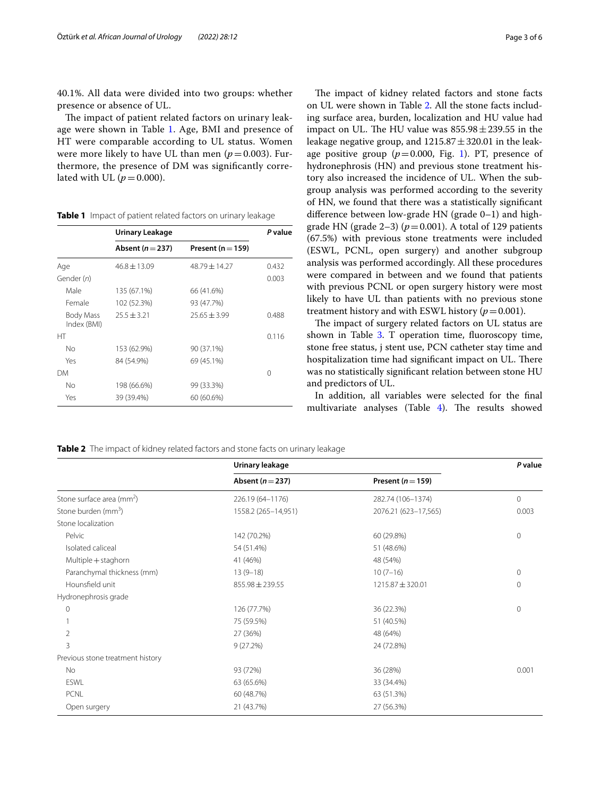40.1%. All data were divided into two groups: whether presence or absence of UL.

The impact of patient related factors on urinary leakage were shown in Table [1](#page-2-0). Age, BMI and presence of HT were comparable according to UL status. Women were more likely to have UL than men  $(p=0.003)$ . Furthermore, the presence of DM was signifcantly correlated with UL  $(p=0.000)$ .

<span id="page-2-0"></span>**Table 1** Impact of patient related factors on urinary leakage

|                          | Urinary Leakage  |                       | P value |
|--------------------------|------------------|-----------------------|---------|
|                          | Absent $(n=237)$ | Present ( $n = 159$ ) |         |
| Age                      | $46.8 \pm 13.09$ | 48.79 ± 14.27         | 0.432   |
| Gender (n)               |                  |                       | 0.003   |
| Male                     | 135 (67.1%)      | 66 (41.6%)            |         |
| Female                   | 102 (52.3%)      | 93 (47.7%)            |         |
| Body Mass<br>Index (BMI) | $25.5 + 3.21$    | $25.65 \pm 3.99$      | 0.488   |
| HT                       |                  |                       | 0.116   |
| No                       | 153 (62.9%)      | 90 (37.1%)            |         |
| Yes                      | 84 (54.9%)       | 69 (45.1%)            |         |
| DМ                       |                  |                       | ∩       |
| No                       | 198 (66.6%)      | 99 (33.3%)            |         |
| Yes                      | 39 (39.4%)       | 60 (60.6%)            |         |

The impact of kidney related factors and stone facts on UL were shown in Table [2.](#page-2-1) All the stone facts including surface area, burden, localization and HU value had impact on UL. The HU value was  $855.98 \pm 239.55$  in the leakage negative group, and  $1215.87 \pm 320.01$  in the leakage positive group  $(p=0.000,$  Fig. [1\)](#page-3-0). PT, presence of hydronephrosis (HN) and previous stone treatment history also increased the incidence of UL. When the subgroup analysis was performed according to the severity of HN, we found that there was a statistically signifcant diference between low-grade HN (grade 0–1) and highgrade HN (grade  $2-3$ ) ( $p=0.001$ ). A total of 129 patients (67.5%) with previous stone treatments were included (ESWL, PCNL, open surgery) and another subgroup analysis was performed accordingly. All these procedures were compared in between and we found that patients with previous PCNL or open surgery history were most likely to have UL than patients with no previous stone treatment history and with ESWL history  $(p=0.001)$ .

The impact of surgery related factors on UL status are shown in Table [3](#page-3-1). T operation time, fluoroscopy time, stone free status, j stent use, PCN catheter stay time and hospitalization time had significant impact on UL. There was no statistically signifcant relation between stone HU and predictors of UL.

In addition, all variables were selected for the fnal multivariate analyses (Table [4](#page-3-2)). The results showed

<span id="page-2-1"></span>**Table 2** The impact of kidney related factors and stone facts on urinary leakage

|                                       | Urinary leakage      |                       | P value      |
|---------------------------------------|----------------------|-----------------------|--------------|
|                                       | Absent ( $n = 237$ ) | Present ( $n = 159$ ) |              |
| Stone surface area (mm <sup>2</sup> ) | 226.19 (64-1176)     | 282.74 (106-1374)     | $\circ$      |
| Stone burden (mm <sup>3</sup> )       | 1558.2 (265-14,951)  | 2076.21 (623-17,565)  | 0.003        |
| Stone localization                    |                      |                       |              |
| Pelvic                                | 142 (70.2%)          | 60 (29.8%)            | $\circ$      |
| Isolated caliceal                     | 54 (51.4%)           | 51 (48.6%)            |              |
| Multiple + staghorn                   | 41 (46%)             | 48 (54%)              |              |
| Paranchymal thickness (mm)            | $13(9-18)$           | $10(7-16)$            | $\mathbf{0}$ |
| Hounsfield unit                       | $855.98 \pm 239.55$  | 1215.87 ± 320.01      | 0            |
| Hydronephrosis grade                  |                      |                       |              |
| $\circ$                               | 126 (77.7%)          | 36 (22.3%)            | 0            |
|                                       | 75 (59.5%)           | 51 (40.5%)            |              |
| $\overline{2}$                        | 27 (36%)             | 48 (64%)              |              |
| 3                                     | 9(27.2%)             | 24 (72.8%)            |              |
| Previous stone treatment history      |                      |                       |              |
| No                                    | 93 (72%)             | 36 (28%)              | 0.001        |
| <b>ESWL</b>                           | 63 (65.6%)           | 33 (34.4%)            |              |
| PCNL                                  | 60 (48.7%)           | 63 (51.3%)            |              |
| Open surgery                          | 21 (43.7%)           | 27 (56.3%)            |              |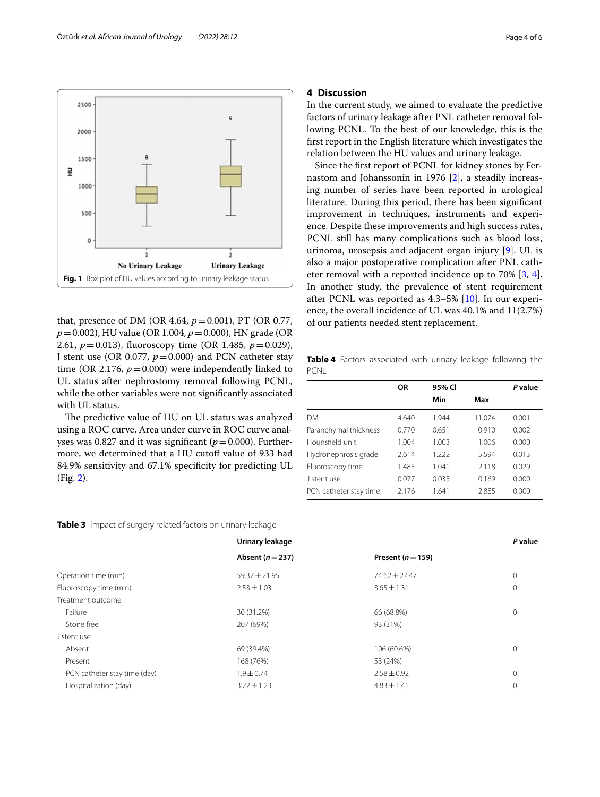<span id="page-3-0"></span>that, presence of DM (OR 4.64,  $p = 0.001$ ), PT (OR 0.77, *p*=0.002), HU value (OR 1.004, *p*=0.000), HN grade (OR 2.61, *p*=0.013), fuoroscopy time (OR 1.485, *p*=0.029), J stent use (OR 0.077,  $p = 0.000$ ) and PCN catheter stay time (OR 2.176,  $p = 0.000$ ) were independently linked to UL status after nephrostomy removal following PCNL, while the other variables were not signifcantly associated with UL status.

The predictive value of HU on UL status was analyzed using a ROC curve. Area under curve in ROC curve analyses was 0.827 and it was significant ( $p=0.000$ ). Furthermore, we determined that a HU cutoff value of 933 had 84.9% sensitivity and 67.1% specifcity for predicting UL (Fig. [2\)](#page-4-0).

## **4 Discussion**

In the current study, we aimed to evaluate the predictive factors of urinary leakage after PNL catheter removal following PCNL. To the best of our knowledge, this is the frst report in the English literature which investigates the relation between the HU values and urinary leakage.

Since the frst report of PCNL for kidney stones by Fernastom and Johanssonin in 1976 [\[2](#page-5-1)], a steadily increasing number of series have been reported in urological literature. During this period, there has been signifcant improvement in techniques, instruments and experience. Despite these improvements and high success rates, PCNL still has many complications such as blood loss, urinoma, urosepsis and adjacent organ injury [[9\]](#page-5-7). UL is also a major postoperative complication after PNL catheter removal with a reported incidence up to 70% [\[3,](#page-5-2) [4](#page-5-3)]. In another study, the prevalence of stent requirement after PCNL was reported as 4.3–5% [\[10](#page-5-8)]. In our experience, the overall incidence of UL was 40.1% and 11(2.7%) of our patients needed stent replacement.

<span id="page-3-2"></span>**Table 4** Factors associated with urinary leakage following the **PCNL** 

| OR    | 95% CI |        | P value |
|-------|--------|--------|---------|
|       | Min    | Max    |         |
| 4.640 | 1.944  | 11.074 | 0.001   |
| 0.770 | 0.651  | 0.910  | 0.002   |
| 1.004 | 1.003  | 1.006  | 0.000   |
| 2.614 | 1.222  | 5.594  | 0.013   |
| 1.485 | 1.041  | 2.118  | 0.029   |
| 0.077 | 0.035  | 0.169  | 0.000   |
| 2176  | 1.641  | 2.885  | 0.000   |
|       |        |        |         |

#### <span id="page-3-1"></span>**Table 3** Impact of surgery related factors on urinary leakage

|                              | Urinary leakage      |                       | P value |
|------------------------------|----------------------|-----------------------|---------|
|                              | Absent ( $n = 237$ ) | Present ( $n = 159$ ) |         |
| Operation time (min)         | $59.37 \pm 21.95$    | $74.62 \pm 27.47$     | 0       |
| Fluoroscopy time (min)       | $2.53 \pm 1.03$      | $3.65 \pm 1.31$       | 0       |
| Treatment outcome            |                      |                       |         |
| Failure                      | 30 (31.2%)           | 66 (68.8%)            | 0       |
| Stone free                   | 207 (69%)            | 93 (31%)              |         |
| J stent use                  |                      |                       |         |
| Absent                       | 69 (39.4%)           | 106 (60.6%)           | 0       |
| Present                      | 168 (76%)            | 53 (24%)              |         |
| PCN catheter stay time (day) | $1.9 \pm 0.74$       | $2.58 \pm 0.92$       | 0       |
| Hospitalization (day)        | $3.22 \pm 1.23$      | $4.83 \pm 1.41$       | 0       |

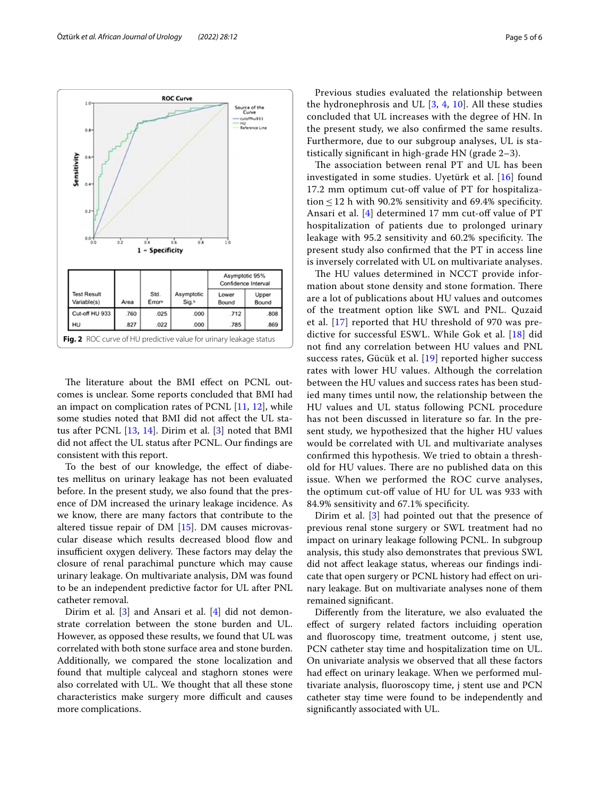

<span id="page-4-0"></span>The literature about the BMI effect on PCNL outcomes is unclear. Some reports concluded that BMI had an impact on complication rates of PCNL [[11](#page-5-9), [12](#page-5-10)], while some studies noted that BMI did not afect the UL status after PCNL [\[13](#page-5-11), [14\]](#page-5-12). Dirim et al. [[3\]](#page-5-2) noted that BMI did not afect the UL status after PCNL. Our fndings are consistent with this report.

To the best of our knowledge, the efect of diabetes mellitus on urinary leakage has not been evaluated before. In the present study, we also found that the presence of DM increased the urinary leakage incidence. As we know, there are many factors that contribute to the altered tissue repair of DM [[15\]](#page-5-13). DM causes microvascular disease which results decreased blood flow and insufficient oxygen delivery. These factors may delay the closure of renal parachimal puncture which may cause urinary leakage. On multivariate analysis, DM was found to be an independent predictive factor for UL after PNL catheter removal.

Dirim et al. [\[3](#page-5-2)] and Ansari et al. [\[4](#page-5-3)] did not demonstrate correlation between the stone burden and UL. However, as opposed these results, we found that UL was correlated with both stone surface area and stone burden. Additionally, we compared the stone localization and found that multiple calyceal and staghorn stones were also correlated with UL. We thought that all these stone characteristics make surgery more difficult and causes more complications.

Previous studies evaluated the relationship between the hydronephrosis and UL [\[3](#page-5-2), [4,](#page-5-3) [10\]](#page-5-8). All these studies concluded that UL increases with the degree of HN. In the present study, we also confrmed the same results. Furthermore, due to our subgroup analyses, UL is statistically signifcant in high-grade HN (grade 2–3).

The association between renal PT and UL has been investigated in some studies. Uyetürk et al. [[16](#page-5-14)] found 17.2 mm optimum cut-of value of PT for hospitalization  $\leq$  12 h with 90.2% sensitivity and 69.4% specificity. Ansari et al.  $[4]$  $[4]$  determined 17 mm cut-off value of PT hospitalization of patients due to prolonged urinary leakage with 95.2 sensitivity and 60.2% specificity. The present study also confrmed that the PT in access line is inversely correlated with UL on multivariate analyses.

The HU values determined in NCCT provide information about stone density and stone formation. There are a lot of publications about HU values and outcomes of the treatment option like SWL and PNL. Quzaid et al. [[17\]](#page-5-15) reported that HU threshold of 970 was predictive for successful ESWL. While Gok et al. [\[18](#page-5-16)] did not fnd any correlation between HU values and PNL success rates, Gücük et al. [[19\]](#page-5-17) reported higher success rates with lower HU values. Although the correlation between the HU values and success rates has been studied many times until now, the relationship between the HU values and UL status following PCNL procedure has not been discussed in literature so far. In the present study, we hypothesized that the higher HU values would be correlated with UL and multivariate analyses confrmed this hypothesis. We tried to obtain a threshold for HU values. There are no published data on this issue. When we performed the ROC curve analyses, the optimum cut-of value of HU for UL was 933 with 84.9% sensitivity and 67.1% specifcity.

Dirim et al. [\[3](#page-5-2)] had pointed out that the presence of previous renal stone surgery or SWL treatment had no impact on urinary leakage following PCNL. In subgroup analysis, this study also demonstrates that previous SWL did not afect leakage status, whereas our fndings indicate that open surgery or PCNL history had efect on urinary leakage. But on multivariate analyses none of them remained signifcant.

Diferently from the literature, we also evaluated the efect of surgery related factors incluiding operation and fuoroscopy time, treatment outcome, j stent use, PCN catheter stay time and hospitalization time on UL. On univariate analysis we observed that all these factors had effect on urinary leakage. When we performed multivariate analysis, fuoroscopy time, j stent use and PCN catheter stay time were found to be independently and signifcantly associated with UL.